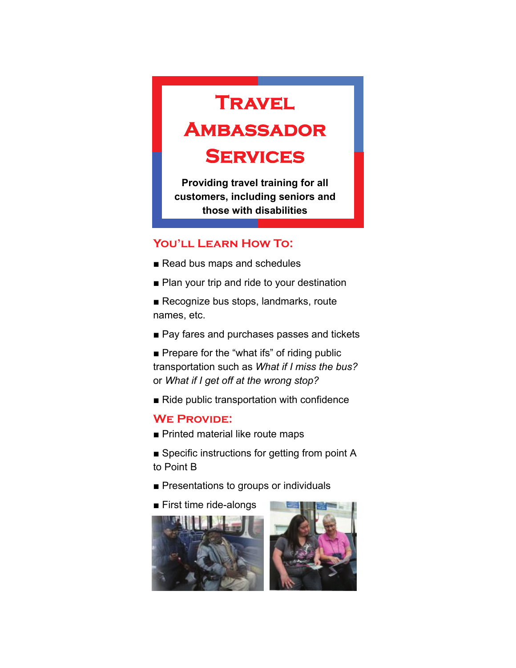## **Travel**

## **Ambassador**

### **Services**

**Providing travel training for all customers, including seniors and those with disabilities** 

#### **You'll Learn How To:**

- Read bus maps and schedules
- Plan your trip and ride to your destination
- Recognize bus stops, landmarks, route names, etc.
- Pay fares and purchases passes and tickets
- Prepare for the "what ifs" of riding public transportation such as *What if I miss the bus?*  or *What if I get off at the wrong stop?*
- Ride public transportation with confidence

#### **WE PROVIDE:**

- Printed material like route maps
- Specific instructions for getting from point A to Point B
- Presentations to groups or individuals
- First time ride-alongs